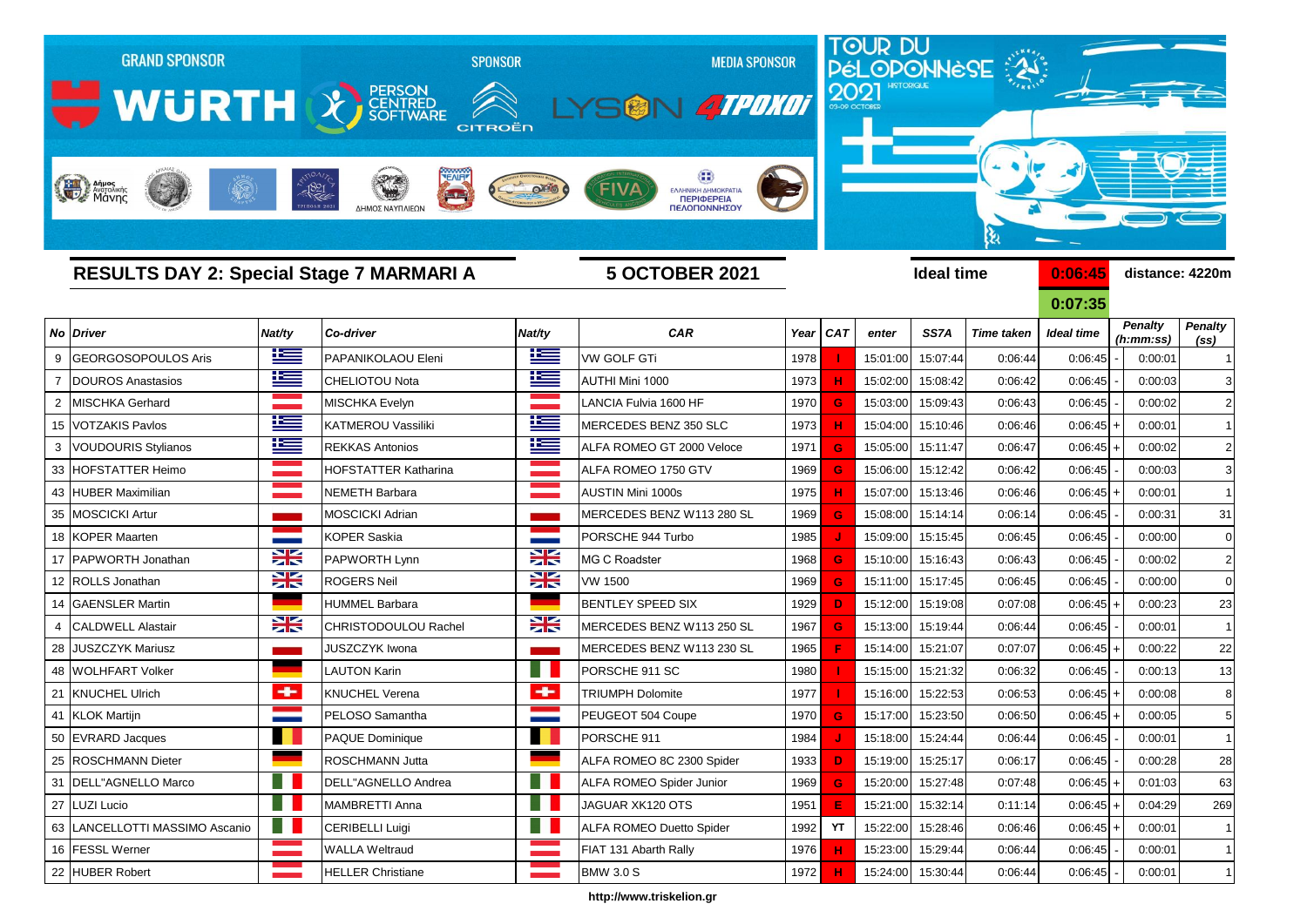

**http://www.triskelion.gr**

 EVRARD Jacques PAQUE Dominique PORSCHE 911 1984  **J**  15:18:00 15:24:44 0:06:44 0:06:45 - 0:00:01 1 ROSCHMANN Dieter ROSCHMANN Jutta ALFA ROMEO 8C 2300 Spider 1933  **D**  15:19:00 15:25:17 0:06:17 0:06:45 - 0:00:28 28 DELL"AGNELLO Marco DELL"AGNELLO Andrea ALFA ROMEO Spider Junior 1969 **G** 15:20:00 15:27:48 0:07:48 0:06:45 + 0:01:03 63 LUZI Lucio MAMBRETTI Anna JAGUAR XK120 OTS 1951 **E** 15:21:00 15:32:14 0:11:14 0:06:45 + 0:04:29 269

 FESSL Werner WALLA Weltraud FIAT 131 Abarth Rally 1976 **H** 15:23:00 15:29:44 0:06:44 0:06:45 - 0:00:01 1 22 |HUBER Robert | Deller Christiane | Deller BMW 3.0 S 1972 **H** 15:24:00 | 15:30:44 0:06:44 0:06:45 - 0:00:01 1

LANCELLOTTI MASSIMO Ascanio CERIBELLI Luigi ALFA ROMEO Duetto Spider 1992  **YT**  15:22:00 15:28:46 0:06:46 0:06:45 + 0:00:01 1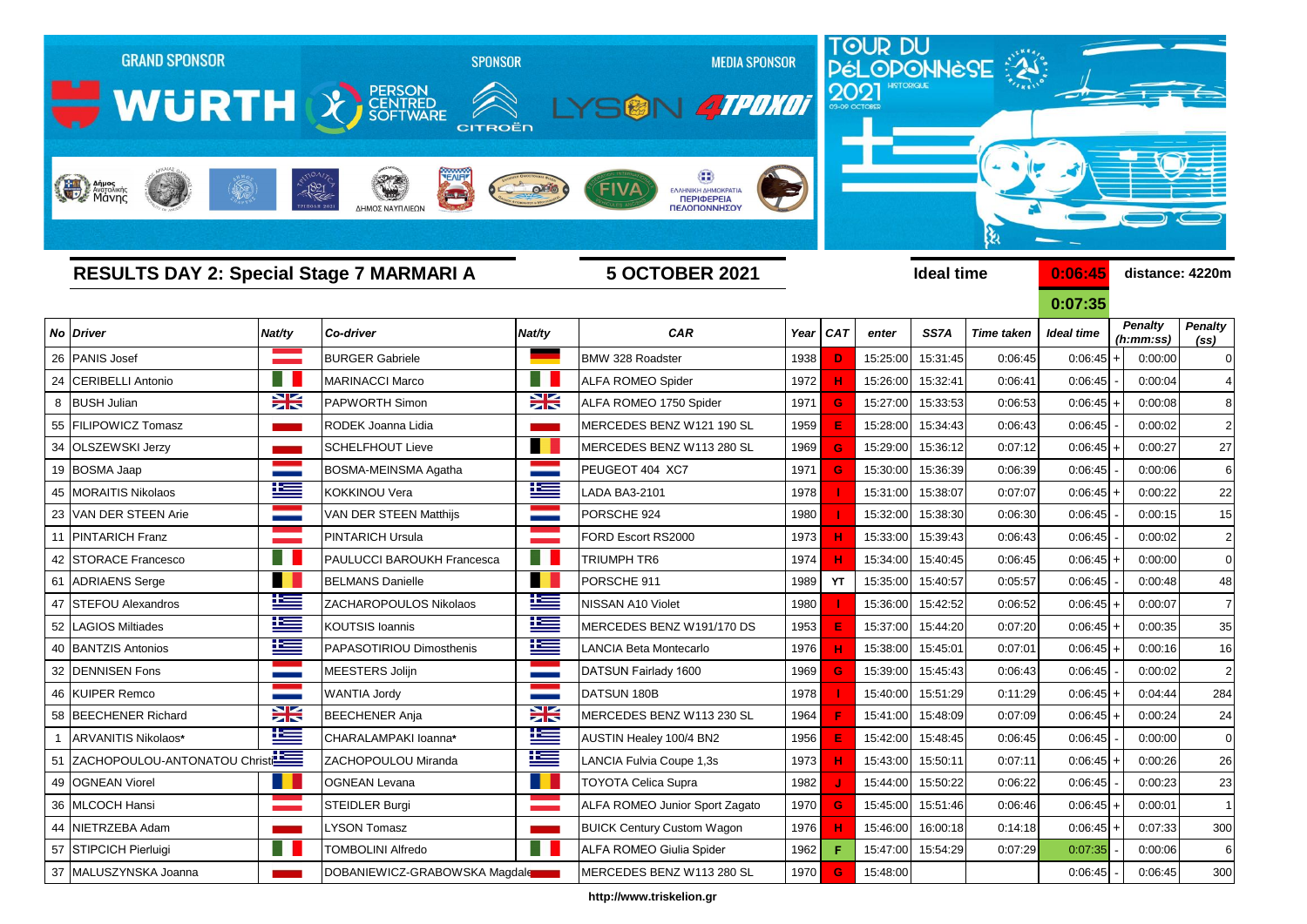

**http://www.triskelion.gr**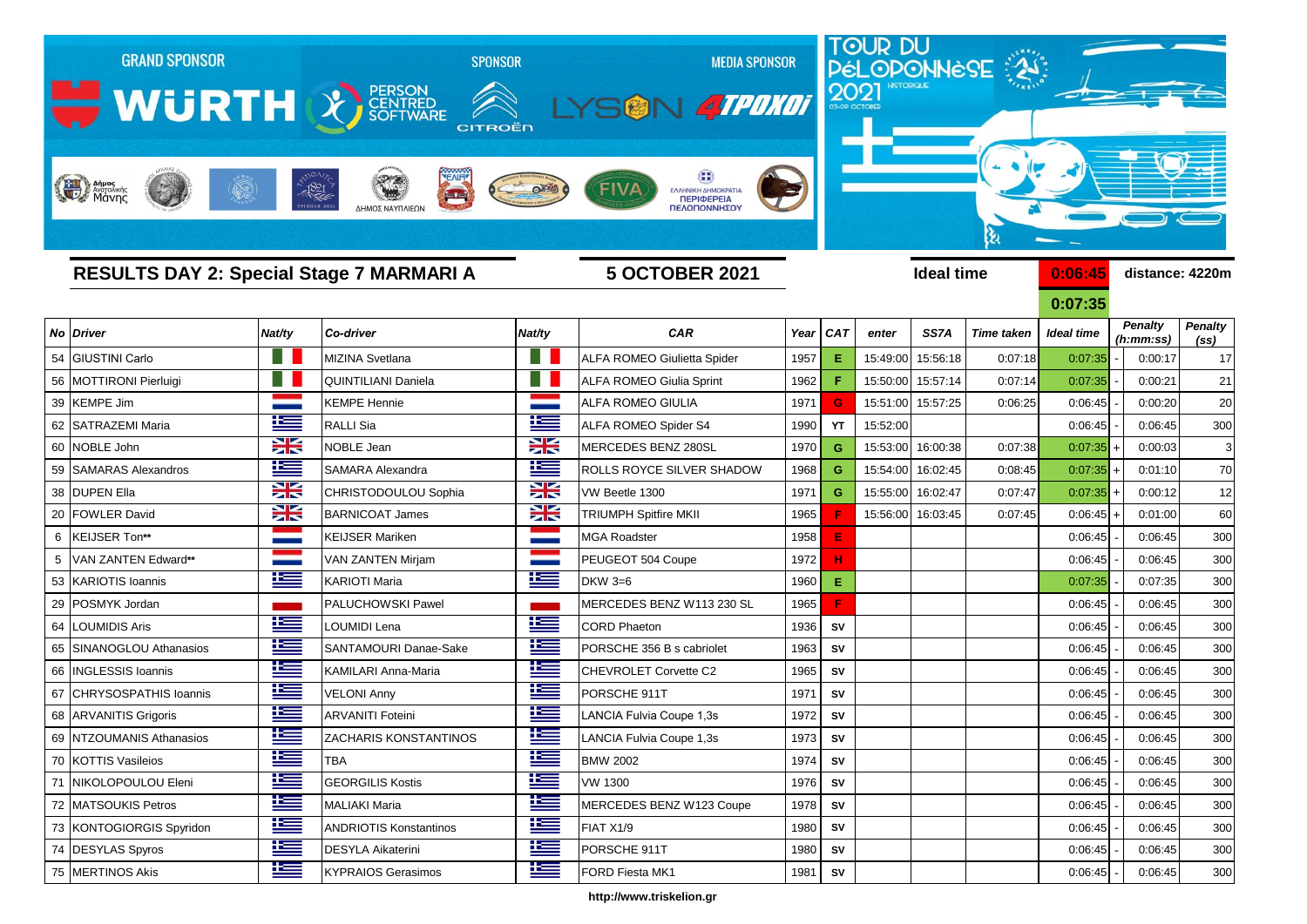

**http://www.triskelion.gr**